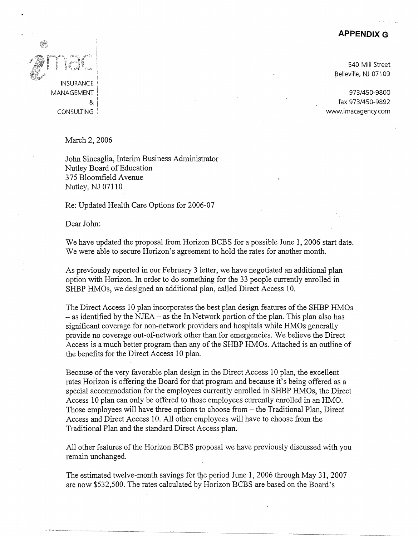## **APPENDIX G**

**INSURANCE** MANAGEMENT & **CONSULTING** 

540 Mill Street Belleville, NJ 07109

973/450-9800 fax 973/450-9892 www.imacagency.com

March 2, 2006

John Sincaglia, Interim Business Administrator Nutley Board of Education 375 Bloomfield Avenue Nutley, NJ 07110

Re: Updated Health Care Options for 2006-07

Dear John:

L, ---.-l \_\_ \_j\_[\_...L \_\_\_\_\_\_ ~

We have updated the proposal from Horizon BCBS for a possible June 1, 2006 start date. We were able to secure Horizon's agreement to hold the rates for another month.

As previously reported in our February 3 letter, we have negotiated an additional plan option with Horizon. In order to do something for the 33 people currently enrolled in SHBP HMOs, we designed an additional plan, called Direct Access 10.

The Direct Access 10 plan incorporates the best plan design features of the SHBP HMOs  $-$  as identified by the NJEA  $-$  as the In Network portion of the plan. This plan also has significant coverage for non-network providers and hospitals while HMOs generally provide no coverage out-of-network other than for emergencies. We believe the Direct Access is a much better program than any of the SHBP HMOs. Attached is an outline of the benefits for the Direct Access 10 plan.

Because of the very favorable plan design in the Direct Access 10 plan, the excellent rates Horizon is offering the Board for that program and because it's being offered as a special accommodation for the employees currently enrolled in SHBP HMOs, the Direct Access 10 plan can only be offered to those employees currently enrolled in an HMO. Those employees will have three options to choose from - the Traditional Plan, Direct Access and Direct Access 10. All other employees will have to choose from the Traditional Plan and the standard Direct Access plan.

All other features of the Horizon BCBS proposal we have previously discussed with you remain unchanged.

The estimated twelve-month savings for the period June 1, 2006 through May 31, 2007 are now \$532,500. The rates calculated by Horizon BCBS are based on the Board's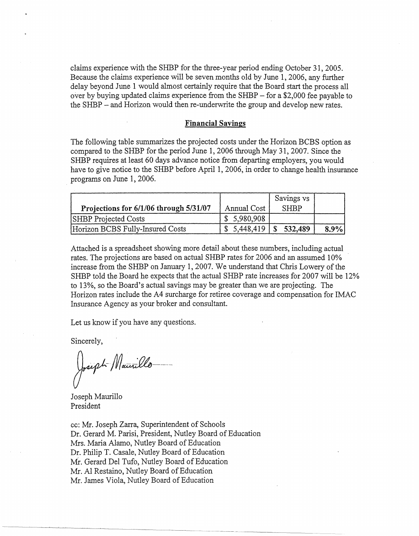claims experience with the SHBP for the three-year period ending October 31, 2005. Because the claims experience will be seven months old by June 1, 2006, any further delay beyond June 1 would almost certainly require that the Board start the process all over by buying updated claims experience from the SHBP - for a \$2,000 fee payable to the SHBP - and Horizon would then re-underwrite the group and develop new rates.

## **Financial Savings**

The following table summarizes the projected costs under the Horizon BCBS option as compared to the SHBP for the period June 1, 2006 through May 31, 2007. Since the SHBP requires at least 60 days advance notice from departing employers, you would have to give notice to the SHBP before April 1, 2006, in order to change health insurance programs on June 1, 2006.

|                                        |             | Savings vs  |      |
|----------------------------------------|-------------|-------------|------|
| Projections for 6/1/06 through 5/31/07 | Annual Cost | <b>SHBP</b> |      |
| <b>SHBP</b> Projected Costs            | \$5,980,908 |             |      |
| Horizon BCBS Fully-Insured Costs       | \$5,448,419 | \$532,489   | 8.9% |

Attached is a spreadsheet showing more detail about these numbers, including actual rates. The projections are based on actual SHBP rates for 2006 and an assumed 10% increase from the SHBP on January 1, 2007. We understand that Chris Lowery of the SHBP told the Board he expects that the actual SHBP rate increases for 2007 will be 12% to 13%, so the Board's actual savings may be greater than we are projecting. The Horizon rates include the A4 surcharge for retiree coverage and compensation for IMAC Insurance Agency as your broker and consultant.

Let us know if you have any questions.

Sincerely,

Joseph Maurillo

Joseph Maurillo President

cc: Mr. Joseph Zarra, Superintendent of Schools Dr. Gerard M. Parisi, President, Nutley Board of Education Mrs. Maria Alamo, Nutley Board of Education Dr. Philip T. Casale, Nutley Board of Education Mr. Gerard Del Tufo, Nutley Board of Education Mr. Al Restaino, Nutley Board of Education Mr. James Viola, Nutley Board of Education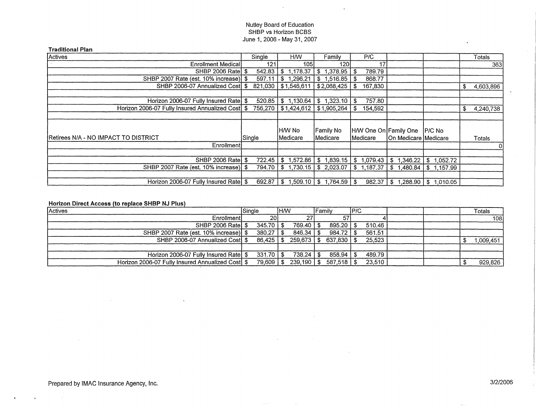## Nutley Board of Education SHBP vs Horizon BCBS June 1, 2006 - May 31, 2007

 $\ddot{\phantom{a}}$ 

 $\ddot{\phantom{a}}$ 

| <b>Traditional Plan</b>                          |         |                           |                         |                                                                           |                             |            |                 |
|--------------------------------------------------|---------|---------------------------|-------------------------|---------------------------------------------------------------------------|-----------------------------|------------|-----------------|
| Actives                                          | Single  | <b>HW</b>                 | Family                  | P/C                                                                       |                             |            | Totals          |
| <b>Enrollment Medicall</b>                       | 121     | 105                       | 120                     | 17 <sub>1</sub>                                                           |                             |            | 363             |
| SHBP 2006 Rate \$                                | 542.83  | 1,178.37<br>\$            | \$1,378.95              | 789.79<br>-\$                                                             |                             |            |                 |
| SHBP 2007 Rate (est. 10% increase) \$            | 597.11  | \$1,296.21                | \$1,516.85              | 868.77<br>-\$                                                             |                             |            |                 |
| SHBP 2006-07 Annualized Cost \$                  | 821,030 | $\frac{1}{2}$ \$1,546,611 | \$2,068,425             | 167,830<br>-\$                                                            |                             |            | 4,603,896<br>\$ |
|                                                  |         |                           |                         |                                                                           |                             |            |                 |
| Horizon 2006-07 Fully Insured Rate \$            | 520.85  | \$1,130.64                | $\frac{1}{2}$ 1,323.10  | 757.80<br>- \$                                                            |                             |            |                 |
| Horizon 2006-07 Fully Insured Annualized Cost \$ |         | 756,270 \$1,424,612       | \$1,905,264             | 154,592<br>-SI                                                            |                             |            | 4,240,738<br>S  |
|                                                  |         |                           |                         |                                                                           |                             |            |                 |
|                                                  |         | H/W No                    | Family No               | H/W One On Family One                                                     |                             | P/C No     |                 |
| Retirees N/A - NO IMPACT TO DISTRICT             | Single  | lMedicare                 | Medicare                | <b>IMedicare</b>                                                          | <b>On Medicare Medicare</b> |            | Totals          |
| Enrollment                                       |         |                           |                         |                                                                           |                             |            | 0               |
| <b>SHBP 2006 Ratel \$</b>                        | 722.45  |                           |                         | $$1,572.86$ $$1,839.15$ $$1,079.43$ $$1,346.22$                           |                             | \$1,052.72 |                 |
| SHBP 2007 Rate (est. 10% increase) \$            | 794.70  |                           |                         | $$1,730.15 \;   \; $2,023.07 \;   \; $1,187.37 \;   \; $1,480.84 \;   \;$ |                             | \$1,157.99 |                 |
| Horizon 2006-07 Fully Insured Rate               | 692.87  | 1.509.10<br>£.            | $1.764.59$   \$<br>l Si | 982.37                                                                    | .288.90<br>-\$              | \$1,010.05 |                 |

Horizon Direct Access (to replace SHBP NJ Plus)

 $\ddot{\phantom{a}}$ 

| Actives                                       | Single        | IHM         | lFamilv                  | IP/C   |  | Totals   |
|-----------------------------------------------|---------------|-------------|--------------------------|--------|--|----------|
| Enrollment                                    | <b>201</b>    |             | 57                       |        |  | 108      |
| <b>SHBP 2006 Ratel \$</b>                     | $345.70$   \$ | 769.40   \$ | 895.20                   | 510.46 |  |          |
| SHBP 2007 Rate (est. 10% increase) \$         | 380.27        | $846.34$ S  | 984.72                   | 561.51 |  |          |
| SHBP 2006-07 Annualized Cost \$               | 86.425   \$   |             | 259.673 5 637.830 \$     | 25.523 |  | ,009,451 |
|                                               |               |             |                          |        |  |          |
| Horizon 2006-07 Fully Insured Rate \$         | $331.70$   \$ | 738.24      | 858.94<br>- \$           | 489.79 |  |          |
| Horizon 2006-07 Fully Insured Annualized Cost | 79,609   \$   |             | $239,190$ \$ 587,518 \\$ | 23,510 |  | 929,826  |

 $\sim 10$